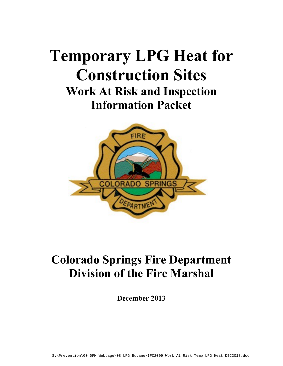# **Temporary LPG Heat for Construction Sites Work At Risk and Inspection Information Packet**



# **Colorado Springs Fire Department Division of the Fire Marshal**

**December 2013**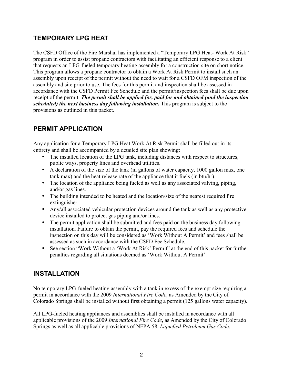### **TEMPORARY LPG HEAT**

The CSFD Office of the Fire Marshal has implemented a "Temporary LPG Heat- Work At Risk" program in order to assist propane contractors with facilitating an efficient response to a client that requests an LPG-fueled temporary heating assembly for a construction site on short notice. This program allows a propane contractor to obtain a Work At Risk Permit to install such an assembly upon receipt of the permit without the need to wait for a CSFD OFM inspection of the assembly and site prior to use. The fees for this permit and inspection shall be assessed in accordance with the CSFD Permit Fee Schedule and the permit/inspection fees shall be due upon receipt of the permit. *The permit shall be applied for, paid for and obtained (and the inspection scheduled) the next business day following installation.* This program is subject to the provisions as outlined in this packet.

### **PERMIT APPLICATION**

Any application for a Temporary LPG Heat Work At Risk Permit shall be filled out in its entirety and shall be accompanied by a detailed site plan showing:

- The installed location of the LPG tank, including distances with respect to structures, public ways, property lines and overhead utilities.
- A declaration of the size of the tank (in gallons of water capacity, 1000 gallon max, one tank max) and the heat release rate of the appliance that it fuels (in btu/hr).
- The location of the appliance being fueled as well as any associated valving, piping, and/or gas lines.
- The building intended to be heated and the location/size of the nearest required fire extinguisher.
- Any/all associated vehicular protection devices around the tank as well as any protective device installed to protect gas piping and/or lines.
- The permit application shall be submitted and fees paid on the business day following installation. Failure to obtain the permit, pay the required fees and schedule the inspection on this day will be considered as 'Work Without A Permit' and fees shall be assessed as such in accordance with the CSFD Fee Schedule.
- See section "Work Without a 'Work At Risk' Permit" at the end of this packet for further penalties regarding all situations deemed as 'Work Without A Permit'.

### **INSTALLATION**

No temporary LPG-fueled heating assembly with a tank in excess of the exempt size requiring a permit in accordance with the 2009 *International Fire Code*, as Amended by the City of Colorado Springs shall be installed without first obtaining a permit (125 gallons water capacity).

All LPG-fueled heating appliances and assemblies shall be installed in accordance with all applicable provisions of the 2009 *International Fire Code*, as Amended by the City of Colorado Springs as well as all applicable provisions of NFPA 58, *Liquefied Petroleum Gas Code*.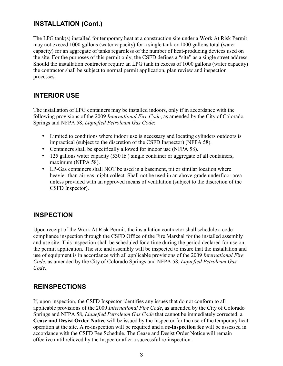#### **INSTALLATION (Cont.)**

The LPG tank(s) installed for temporary heat at a construction site under a Work At Risk Permit may not exceed 1000 gallons (water capacity) for a single tank or 1000 gallons total (water capacity) for an aggregate of tanks regardless of the number of heat-producing devices used on the site. For the purposes of this permit only, the CSFD defines a "site" as a single street address. Should the installation contractor require an LPG tank in excess of 1000 gallons (water capacity) the contractor shall be subject to normal permit application, plan review and inspection processes.

#### **INTERIOR USE**

The installation of LPG containers may be installed indoors, only if in accordance with the following provisions of the 2009 *International Fire Code*, as amended by the City of Colorado Springs and NFPA 58, *Liquefied Petroleum Gas Code*:

- Limited to conditions where indoor use is necessary and locating cylinders outdoors is impractical (subject to the discretion of the CSFD Inspector) (NFPA 58).
- Containers shall be specifically allowed for indoor use (NFPA 58).
- 125 gallons water capacity (530 lb.) single container or aggregate of all containers, maximum (NFPA 58).
- LP-Gas containers shall NOT be used in a basement, pit or similar location where heavier-than-air gas might collect. Shall not be used in an above-grade underfloor area unless provided with an approved means of ventilation (subject to the discretion of the CSFD Inspector).

#### **INSPECTION**

Upon receipt of the Work At Risk Permit, the installation contractor shall schedule a code compliance inspection through the CSFD Office of the Fire Marshal for the installed assembly and use site. This inspection shall be scheduled for a time during the period declared for use on the permit application. The site and assembly will be inspected to insure that the installation and use of equipment is in accordance with all applicable provisions of the 2009 *International Fire Code*, as amended by the City of Colorado Springs and NFPA 58, *Liquefied Petroleum Gas Code*.

#### **REINSPECTIONS**

If, upon inspection, the CSFD Inspector identifies any issues that do not conform to all applicable provisions of the 2009 *International Fire Code*, as amended by the City of Colorado Springs and NFPA 58, *Liquefied Petroleum Gas Code* that cannot be immediately corrected, a **Cease and Desist Order Notice** will be issued by the Inspector for the use of the temporary heat operation at the site. A re-inspection will be required and a **re-inspection fee** will be assessed in accordance with the CSFD Fee Schedule. The Cease and Desist Order Notice will remain effective until relieved by the Inspector after a successful re-inspection.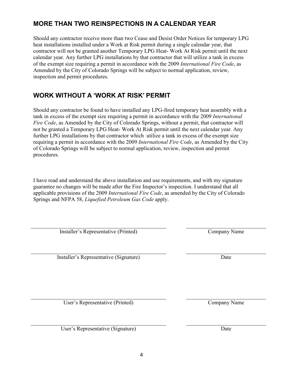4

## **MORE THAN TWO REINSPECTIONS IN A CALENDAR YEAR**

Should any contractor receive more than two Cease and Desist Order Notices for temporary LPG heat installations installed under a Work at Risk permit during a single calendar year, that contractor will not be granted another Temporary LPG Heat- Work At Risk permit until the next calendar year. Any further LPG installations by that contractor that will utilize a tank in excess of the exempt size requiring a permit in accordance with the 2009 *International Fire Code*, as Amended by the City of Colorado Springs will be subject to normal application, review, inspection and permit procedures.

#### **WORK WITHOUT A 'WORK AT RISK' PERMIT**

Should any contractor be found to have installed any LPG-fired temporary heat assembly with a tank in excess of the exempt size requiring a permit in accordance with the 2009 *International Fire Code*, as Amended by the City of Colorado Springs, without a permit, that contractor will not be granted a Temporary LPG Heat- Work At Risk permit until the next calendar year. Any further LPG installations by that contractor which utilize a tank in excess of the exempt size requiring a permit in accordance with the 2009 *International Fire Code*, as Amended by the City of Colorado Springs will be subject to normal application, review, inspection and permit procedures.

I have read and understand the above installation and use requirements, and with my signature guarantee no changes will be made after the Fire Inspector's inspection. I understand that all applicable provisions of the 2009 *International Fire Code*, as amended by the City of Colorado Springs and NFPA 58, *Liquefied Petroleum Gas Code* apply.

Installer's Representative (Printed) Company Name

Installer's Representative (Signature) Date

User's Representative (Printed) Company Name

User's Representative (Signature) Date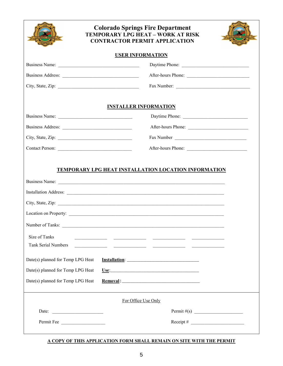| <b>Colorado Springs Fire Department</b><br><b>TEMPORARY LPG HEAT - WORK AT RISK</b><br><b>CONTRACTOR PERMIT APPLICATION</b> |                                                                                                                                              |  |  |  |  |  |  |
|-----------------------------------------------------------------------------------------------------------------------------|----------------------------------------------------------------------------------------------------------------------------------------------|--|--|--|--|--|--|
| <b>USER INFORMATION</b>                                                                                                     |                                                                                                                                              |  |  |  |  |  |  |
|                                                                                                                             | Daytime Phone:                                                                                                                               |  |  |  |  |  |  |
|                                                                                                                             | After-hours Phone:                                                                                                                           |  |  |  |  |  |  |
|                                                                                                                             |                                                                                                                                              |  |  |  |  |  |  |
|                                                                                                                             | <b>INSTALLER INFORMATION</b>                                                                                                                 |  |  |  |  |  |  |
|                                                                                                                             |                                                                                                                                              |  |  |  |  |  |  |
|                                                                                                                             | After-hours Phone:                                                                                                                           |  |  |  |  |  |  |
|                                                                                                                             |                                                                                                                                              |  |  |  |  |  |  |
| Contact Person:                                                                                                             |                                                                                                                                              |  |  |  |  |  |  |
| Number of Tanks:<br>Size of Tanks<br><b>Tank Serial Numbers</b><br>Date(s) planned for Temp LPG Heat                        | TEMPORARY LPG HEAT INSTALLATION LOCATION INFORMATION<br><u> 1989 - Johann John Stone, francuski politik († 1908)</u><br><b>Installation:</b> |  |  |  |  |  |  |
| Date(s) planned for Temp LPG Heat                                                                                           |                                                                                                                                              |  |  |  |  |  |  |
| Date(s) planned for Temp LPG Heat                                                                                           |                                                                                                                                              |  |  |  |  |  |  |
|                                                                                                                             | For Office Use Only                                                                                                                          |  |  |  |  |  |  |
| Date:                                                                                                                       | Permit $\#(s)$                                                                                                                               |  |  |  |  |  |  |
| Permit Fee                                                                                                                  | Receipt # $\qquad \qquad$                                                                                                                    |  |  |  |  |  |  |

#### **A COPY OF THIS APPLICATION FORM SHALL REMAIN ON SITE WITH THE PERMIT**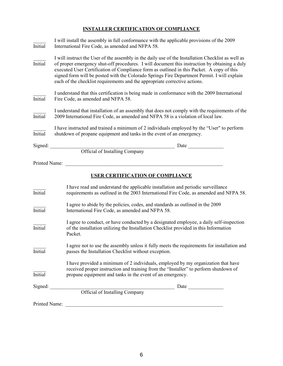#### **INSTALLER CERTIFICATION OF COMPLIANCE**

| <b>Initial</b> | I will install the assembly in full conformance with the applicable provisions of the 2009<br>International Fire Code, as amended and NFPA 58.                                                                                                                                                                                                                                                                                                                                |  |  |  |  |  |  |  |
|----------------|-------------------------------------------------------------------------------------------------------------------------------------------------------------------------------------------------------------------------------------------------------------------------------------------------------------------------------------------------------------------------------------------------------------------------------------------------------------------------------|--|--|--|--|--|--|--|
| <b>Initial</b> | I will instruct the User of the assembly in the daily use of the Installation Checklist as well as<br>of proper emergency shut-off procedures. I will document this instruction by obtaining a duly<br>executed User Certification of Compliance form as outlined in this Packet. A copy of this<br>signed form will be posted with the Colorado Springs Fire Department Permit. I will explain<br>each of the checklist requirements and the appropriate corrective actions. |  |  |  |  |  |  |  |
| <b>Initial</b> | I understand that this certification is being made in conformance with the 2009 International<br>Fire Code, as amended and NFPA 58.                                                                                                                                                                                                                                                                                                                                           |  |  |  |  |  |  |  |
| <b>Initial</b> | I understand that installation of an assembly that does not comply with the requirements of the<br>2009 International Fire Code, as amended and NFPA 58 is a violation of local law.                                                                                                                                                                                                                                                                                          |  |  |  |  |  |  |  |
| <b>Initial</b> | I have instructed and trained a minimum of 2 individuals employed by the "User" to perform<br>shutdown of propane equipment and tanks in the event of an emergency.                                                                                                                                                                                                                                                                                                           |  |  |  |  |  |  |  |
| Signed:        | Date $\_\_$                                                                                                                                                                                                                                                                                                                                                                                                                                                                   |  |  |  |  |  |  |  |
|                | <b>Official of Installing Company</b>                                                                                                                                                                                                                                                                                                                                                                                                                                         |  |  |  |  |  |  |  |
| Printed Name:  |                                                                                                                                                                                                                                                                                                                                                                                                                                                                               |  |  |  |  |  |  |  |
|                | <b>USER CERTIFICATION OF COMPLIANCE</b>                                                                                                                                                                                                                                                                                                                                                                                                                                       |  |  |  |  |  |  |  |
| Initial        | I have read and understand the applicable installation and periodic surveillance<br>requirements as outlined in the 2003 International Fire Code, as amended and NFPA 58.                                                                                                                                                                                                                                                                                                     |  |  |  |  |  |  |  |
| <b>Initial</b> | I agree to abide by the policies, codes, and standards as outlined in the 2009<br>International Fire Code, as amended and NFPA 58.                                                                                                                                                                                                                                                                                                                                            |  |  |  |  |  |  |  |
| <b>Initial</b> | I agree to conduct, or have conducted by a designated employee, a daily self-inspection<br>of the installation utilizing the Installation Checklist provided in this Information<br>Packet.                                                                                                                                                                                                                                                                                   |  |  |  |  |  |  |  |
| <b>Initial</b> | I agree not to use the assembly unless it fully meets the requirements for installation and<br>passes the Installation Checklist without exception.                                                                                                                                                                                                                                                                                                                           |  |  |  |  |  |  |  |
| <b>Initial</b> | I have provided a minimum of 2 individuals, employed by my organization that have<br>received proper instruction and training from the "Installer" to perform shutdown of<br>propane equipment and tanks in the event of an emergency.                                                                                                                                                                                                                                        |  |  |  |  |  |  |  |
| Signed:        | Official of Installing Company                                                                                                                                                                                                                                                                                                                                                                                                                                                |  |  |  |  |  |  |  |
|                |                                                                                                                                                                                                                                                                                                                                                                                                                                                                               |  |  |  |  |  |  |  |
| Printed Name:  |                                                                                                                                                                                                                                                                                                                                                                                                                                                                               |  |  |  |  |  |  |  |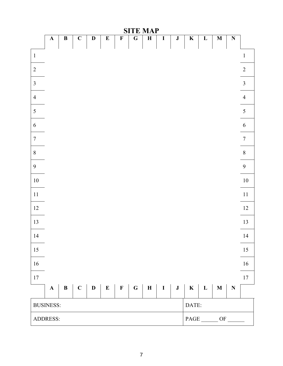|                  | <b>SITE MAP</b>            |              |             |             |           |                         |                |             |              |              |                         |              |              |                         |                |
|------------------|----------------------------|--------------|-------------|-------------|-----------|-------------------------|----------------|-------------|--------------|--------------|-------------------------|--------------|--------------|-------------------------|----------------|
|                  | ${\bf A}$                  | $\, {\bf B}$ | $\mathbf C$ | $\mathbf D$ | ${\bf E}$ | $\overline{\mathbf{F}}$ | $\overline{G}$ | $\mathbf H$ | $\mathbf I$  | ${\bf J}$    | $\overline{\mathbf{K}}$ | $\mathbf{L}$ | $\mathbf{M}$ | $\overline{\mathbf{N}}$ |                |
| $\mathbf 1$      |                            |              |             |             |           |                         |                |             |              |              |                         |              |              |                         | $\,1\,$        |
| $\sqrt{2}$       |                            |              |             |             |           |                         |                |             |              |              |                         |              |              |                         | $\overline{2}$ |
| $\overline{3}$   |                            |              |             |             |           |                         |                |             |              |              |                         |              |              |                         | $\overline{3}$ |
| $\overline{4}$   |                            |              |             |             |           |                         |                |             |              |              |                         |              |              |                         | $\overline{4}$ |
| 5                |                            |              |             |             |           |                         |                |             |              |              |                         |              |              |                         | 5              |
| $\sqrt{6}$       |                            |              |             |             |           |                         |                |             |              |              |                         |              |              |                         | $\sqrt{6}$     |
| $\boldsymbol{7}$ |                            |              |             |             |           |                         |                |             |              |              |                         |              |              |                         | $\overline{7}$ |
| $8\,$            |                            |              |             |             |           |                         |                |             |              |              |                         |              |              |                         | $\, 8$         |
| 9                |                            |              |             |             |           |                         |                |             |              |              |                         |              |              |                         | 9              |
| $10\,$           |                            |              |             |             |           |                         |                |             |              |              |                         |              |              |                         | $10\,$         |
| $11\,$           |                            |              |             |             |           |                         |                |             |              |              |                         |              |              |                         | $11\,$         |
| $12\,$           |                            |              |             |             |           |                         |                |             |              |              |                         |              |              |                         | $12\,$         |
| 13               |                            |              |             |             |           |                         |                |             |              |              |                         |              |              |                         | 13             |
| 14               |                            |              |             |             |           |                         |                |             |              |              |                         |              |              |                         | 14             |
| 15               |                            |              |             |             |           |                         |                |             |              |              |                         |              |              |                         | 15             |
| $16\,$           |                            |              |             |             |           |                         |                |             |              |              |                         |              |              |                         | $16\,$         |
| $17\,$           |                            |              |             |             |           |                         |                |             |              |              |                         |              |              |                         | $17\,$         |
|                  | $\mathbf A$                | $\, {\bf B}$ |             | $C \mid D$  | $\bf E$   |                         | $F \mid G$     | $\mathbf H$ | $\mathbf{I}$ | $\mathbf{J}$ | $\mathbf K$             | $\mathbf{L}$ | $\mathbf M$  | $\mathbf N$             |                |
|                  | <b>BUSINESS:</b><br>DATE:  |              |             |             |           |                         |                |             |              |              |                         |              |              |                         |                |
|                  | ADDRESS:<br>PAGE ______ OF |              |             |             |           |                         |                |             |              |              |                         |              |              |                         |                |